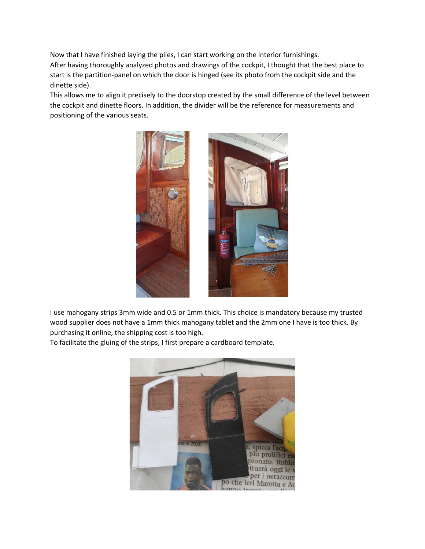Now that I have finished laying the piles, I can start working on the interior furnishings. After having thoroughly analyzed photos and drawings of the cockpit, I thought that the best place to start is the partition-panel on which the door is hinged (see its photo from the cockpit side and the dinette side).

This allows me to align it precisely to the doorstop created by the small difference of the level between the cockpit and dinette floors. In addition, the divider will be the reference for measurements and positioning of the various seats.



I use mahogany strips 3mm wide and 0.5 or 1mm thick. This choice is mandatory because my trusted wood supplier does not have a 1mm thick mahogany tablet and the 2mm one I have is too thick. By purchasing it online, the shipping cost is too high.

To facilitate the gluing of the strips, I first prepare a cardboard template.

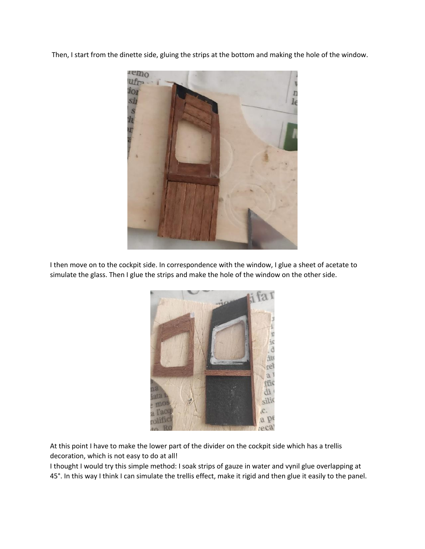Then, I start from the dinette side, gluing the strips at the bottom and making the hole of the window.



I then move on to the cockpit side. In correspondence with the window, I glue a sheet of acetate to simulate the glass. Then I glue the strips and make the hole of the window on the other side.



At this point I have to make the lower part of the divider on the cockpit side which has a trellis decoration, which is not easy to do at all!

I thought I would try this simple method: I soak strips of gauze in water and vynil glue overlapping at 45°. In this way I think I can simulate the trellis effect, make it rigid and then glue it easily to the panel.